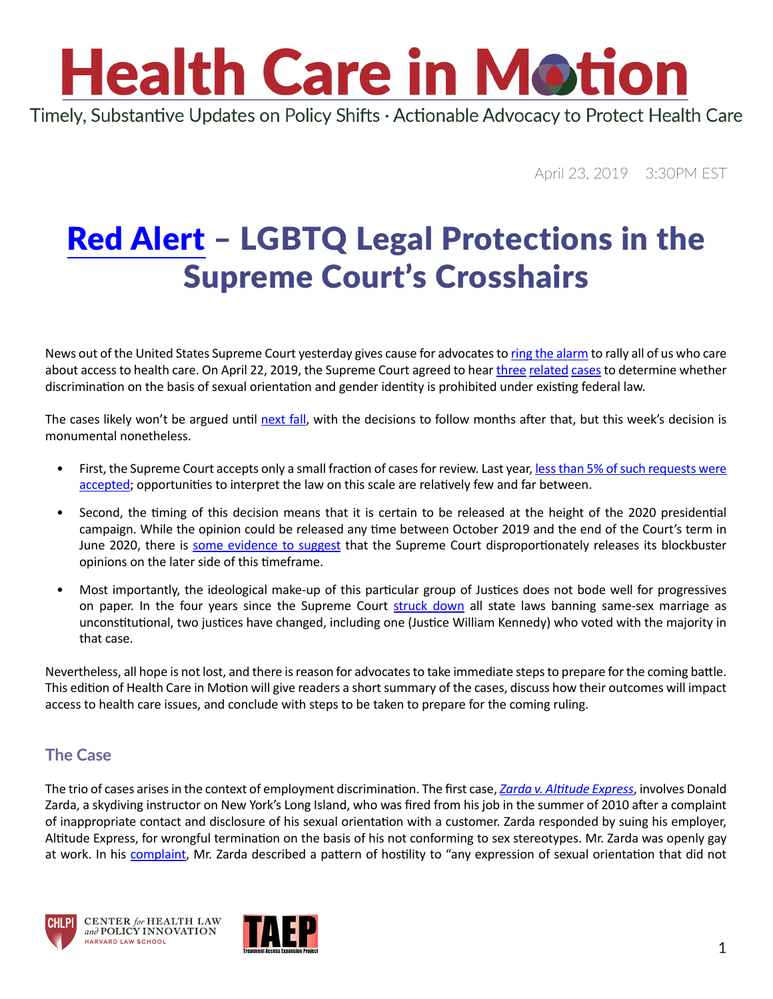Timely, Substantive Updates on Policy Shifts · Actionable Advocacy to Protect Health Care

April 23, 2019 3:30PM EST

### [Red Alert](https://www.youtube.com/watch?v=R1JSAKpraxQ) – LGBTQ Legal Protections in the Supreme Court's Crosshairs

News out of the United States Supreme Court yesterday gives cause for advocates to [ring the alarm](https://www.youtube.com/watch?v=40BqP92Wl04) to rally all of us who care about access to health care. On April 22, 2019, the Supreme Court agreed to hear [three](https://www.scotusblog.com/case-files/cases/bostock-v-clayton-county-georgia/) [related](https://www.scotusblog.com/case-files/cases/altitude-express-inc-v-zarda/) [cases](https://www.scotusblog.com/case-files/cases/r-g-g-r-harris-funeral-homes-inc-v-equal-opportunity-employment-commission/) to determine whether discrimination on the basis of sexual orientation and gender identity is prohibited under existing federal law.

The cases likely won't be argued until [next fall,](https://www.supremecourt.gov/about/procedures.aspx) with the decisions to follow months after that, but this week's decision is monumental nonetheless.

- First, the Supreme Court accepts only a small fraction of cases for review. Last year, [less than 5% of such requests were](https://www.uscourts.gov/sites/default/files/jb_b2_0930.2018.pdf)  [accepted](https://www.uscourts.gov/sites/default/files/jb_b2_0930.2018.pdf); opportunities to interpret the law on this scale are relatively few and far between.
- Second, the timing of this decision means that it is certain to be released at the height of the 2020 presidential campaign. While the opinion could be released any time between October 2019 and the end of the Court's term in June 2020, there is [some evidence to suggest](https://scholarship.law.duke.edu/cgi/viewcontent.cgi?article=3799&context=dlj) that the Supreme Court disproportionately releases its blockbuster opinions on the later side of this timeframe.
- Most importantly, the ideological make-up of this particular group of Justices does not bode well for progressives on paper. In the four years since the Supreme Court [struck down](https://www.oyez.org/cases/2014/14-556) all state laws banning same-sex marriage as unconstitutional, two justices have changed, including one (Justice William Kennedy) who voted with the majority in that case.

Nevertheless, all hope is not lost, and there is reason for advocates to take immediate steps to prepare for the coming battle. This edition of Health Care in Motion will give readers a short summary of the cases, discuss how their outcomes will impact access to health care issues, and conclude with steps to be taken to prepare for the coming ruling.

#### **The Case**

The trio of cases arises in the context of employment discrimination. The first case, *[Zarda v. Altitude Express](https://www.scotusblog.com/case-files/cases/altitude-express-inc-v-zarda/)*, involves Donald Zarda, a skydiving instructor on New York's Long Island, who was fired from his job in the summer of 2010 after a complaint of inappropriate contact and disclosure of his sexual orientation with a customer. Zarda responded by suing his employer, Altitude Express, for wrongful termination on the basis of his not conforming to sex stereotypes. Mr. Zarda was openly gay at work. In his [complaint](https://www.clearinghouse.net/chDocs/public/EE-NY-0289-0007.pdf), Mr. Zarda described a pattern of hostility to "any expression of sexual orientation that did not





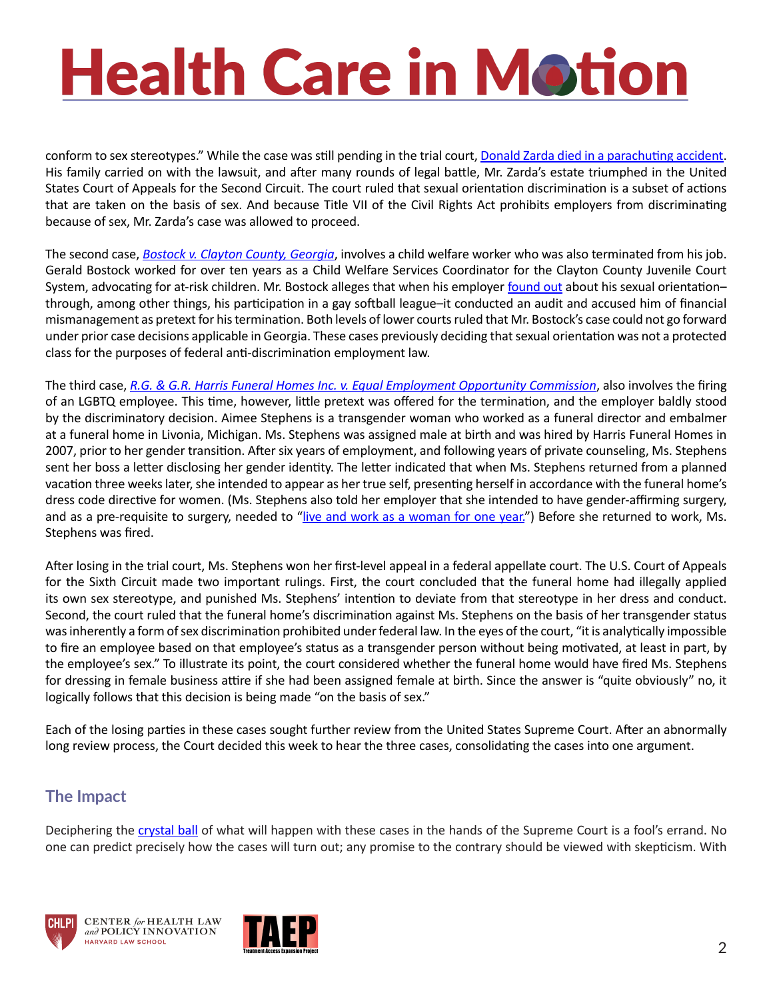conform to sex stereotypes." While the case was still pending in the trial court, [Donald Zarda died in a parachuting accident](https://www.nbcnews.com/feature/nbc-out/donald-zarda-man-center-major-gay-rights-case-never-got-n852846). His family carried on with the lawsuit, and after many rounds of legal battle, Mr. Zarda's estate triumphed in the United States Court of Appeals for the Second Circuit. The court ruled that sexual orientation discrimination is a subset of actions that are taken on the basis of sex. And because Title VII of the Civil Rights Act prohibits employers from discriminating because of sex, Mr. Zarda's case was allowed to proceed.

The second case, *[Bostock v. Clayton County, Georgia](https://www.scotusblog.com/case-files/cases/bostock-v-clayton-county-georgia/)*, involves a child welfare worker who was also terminated from his job. Gerald Bostock worked for over ten years as a Child Welfare Services Coordinator for the Clayton County Juvenile Court System, advocating for at-risk children. Mr. Bostock alleges that when his employer [found out](https://www.supremecourt.gov/DocketPDF/17/17-1618/48357/20180525170054025_36418 pdf Sutherland br.pdf) about his sexual orientation– through, among other things, his participation in a gay softball league–it conducted an audit and accused him of financial mismanagement as pretext for his termination. Both levels of lower courts ruled that Mr. Bostock's case could not go forward under prior case decisions applicable in Georgia. These cases previously deciding that sexual orientation was not a protected class for the purposes of federal anti-discrimination employment law.

The third case, *[R.G. & G.R. Harris Funeral Homes Inc. v. Equal Employment Opportunity Commission](https://www.scotusblog.com/case-files/cases/r-g-g-r-harris-funeral-homes-inc-v-equal-opportunity-employment-commission/)*, also involves the firing of an LGBTQ employee. This time, however, little pretext was offered for the termination, and the employer baldly stood by the discriminatory decision. Aimee Stephens is a transgender woman who worked as a funeral director and embalmer at a funeral home in Livonia, Michigan. Ms. Stephens was assigned male at birth and was hired by Harris Funeral Homes in 2007, prior to her gender transition. After six years of employment, and following years of private counseling, Ms. Stephens sent her boss a letter disclosing her gender identity. The letter indicated that when Ms. Stephens returned from a planned vacation three weeks later, she intended to appear as her true self, presenting herself in accordance with the funeral home's dress code directive for women. (Ms. Stephens also told her employer that she intended to have gender-affirming surgery, and as a pre-requisite to surgery, needed to "[live and work as a woman for one year.](https://www.aclu.org/legal-document/eeoc-v-rg-gr-harris-funeral-homes-appellant-eeoc-opening-brief)") Before she returned to work, Ms. Stephens was fired.

After losing in the trial court, Ms. Stephens won her first-level appeal in a federal appellate court. The U.S. Court of Appeals for the Sixth Circuit made two important rulings. First, the court concluded that the funeral home had illegally applied its own sex stereotype, and punished Ms. Stephens' intention to deviate from that stereotype in her dress and conduct. Second, the court ruled that the funeral home's discrimination against Ms. Stephens on the basis of her transgender status was inherently a form of sex discrimination prohibited under federal law. In the eyes of the court, "it is analytically impossible to fire an employee based on that employee's status as a transgender person without being motivated, at least in part, by the employee's sex." To illustrate its point, the court considered whether the funeral home would have fired Ms. Stephens for dressing in female business attire if she had been assigned female at birth. Since the answer is "quite obviously" no, it logically follows that this decision is being made "on the basis of sex."

Each of the losing parties in these cases sought further review from the United States Supreme Court. After an abnormally long review process, the Court decided this week to hear the three cases, consolidating the cases into one argument.

#### **The Impact**

Deciphering the [crystal ball](https://images.app.goo.gl/J8XM3ydHSqHhxuYp6) of what will happen with these cases in the hands of the Supreme Court is a fool's errand. No one can predict precisely how the cases will turn out; any promise to the contrary should be viewed with skepticism. With





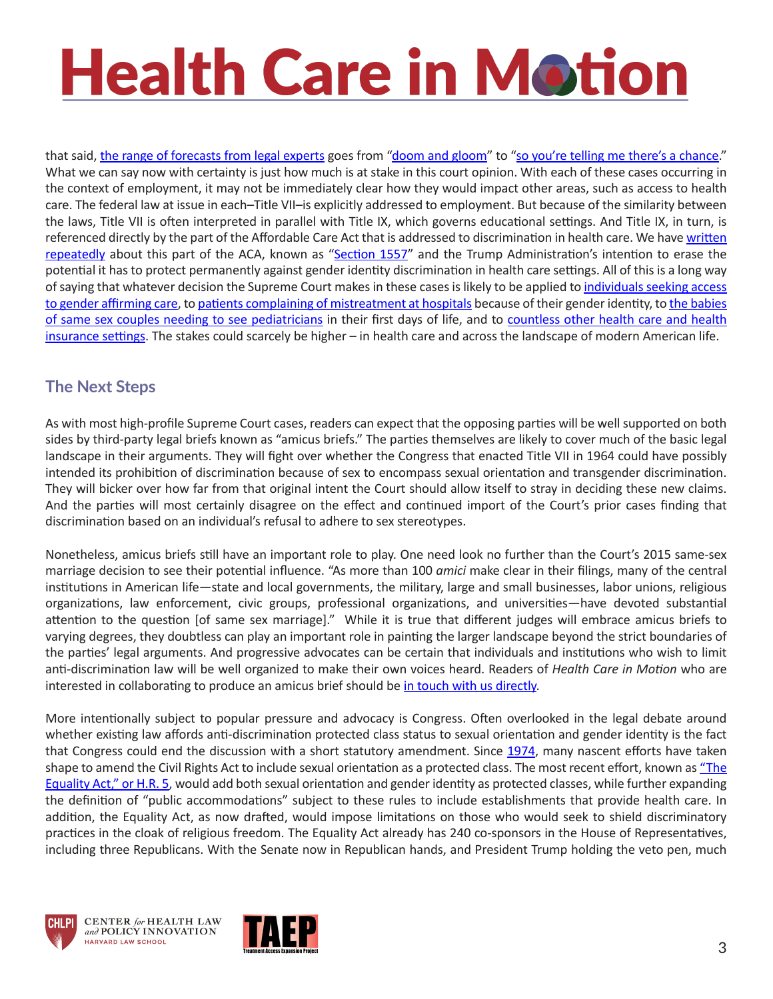that said, [the range of forecasts from legal experts](https://onlabor.org/commentary-roundup-for-bostock-zarda-and-harris-cert-grants/) goes from "[doom and gloom](https://www.youtube.com/watch?v=vwmAWOE5F9o)" to "[so you're telling me there's a chance](https://www.youtube.com/watch?v=zMRrNY0pxfM)." What we can say now with certainty is just how much is at stake in this court opinion. With each of these cases occurring in the context of employment, it may not be immediately clear how they would impact other areas, such as access to health care. The federal law at issue in each–Title VII–is explicitly addressed to employment. But because of the similarity between the laws, Title VII is often interpreted in parallel with Title IX, which governs educational settings. And Title IX, in turn, is referenced directly by the part of the Affordable Care Act that is addressed to discrimination in health care. We have [written](https://www.chlpi.org/wp-content/uploads/2013/12/HCIM_09_01_2017.pdf) [repeatedly](https://www.chlpi.org/wp-content/uploads/2013/12/HCIM_06_01_2018.pdf) about this part of the ACA, known as "[Section 1557](https://www.hhs.gov/civil-rights/for-individuals/section-1557/index.html)" and the Trump Administration's intention to erase the potential it has to protect permanently against gender identity discrimination in health care settings. All of this is a long way of saying that whatever decision the Supreme Court makes in these cases is likely to be applied [to individuals seeking access](https://healthlaw.org/news/federal-court-blocks-wisconsin-regulation-banning-coverage-of-health-care-services-for-transgender-medicaid-beneficiaries/)  [to gender affirming care](https://healthlaw.org/news/federal-court-blocks-wisconsin-regulation-banning-coverage-of-health-care-services-for-transgender-medicaid-beneficiaries/), to [patients complaining of mistreatment at hospitals because of their gender identity](http://www.startribune.com/judge-says-transgender-man-has-case-he-was-mistreated-at-hospital/296930741/), to the babies [of same sex couples needing to see pediatricians](https://www.americanprogress.org/issues/lgbt/news/2015/07/21/117765/video-their-baby-was-denied-access-to-care-because-they-are-gay/) in their first days of life, and to [countless other health care and health](https://medium.com/protect-trans-health)  [insurance settings](https://medium.com/protect-trans-health). The stakes could scarcely be higher – in health care and across the landscape of modern American life.

#### **The Next Steps**

As with most high-profile Supreme Court cases, readers can expect that the opposing parties will be well supported on both sides by third-party legal briefs known as "amicus briefs." The parties themselves are likely to cover much of the basic legal landscape in their arguments. They will fight over whether the Congress that enacted Title VII in 1964 could have possibly intended its prohibition of discrimination because of sex to encompass sexual orientation and transgender discrimination. They will bicker over how far from that original intent the Court should allow itself to stray in deciding these new claims. And the parties will most certainly disagree on the effect and continued import of the Court's prior cases finding that discrimination based on an individual's refusal to adhere to sex stereotypes.

Nonetheless, amicus briefs still have an important role to play. One need look no further than the Court's 2015 same-sex marriage decision to see their potential influence. "As more than 100 *amici* make clear in their filings, many of the central institutions in American life—state and local governments, the military, large and small businesses, labor unions, religious organizations, law enforcement, civic groups, professional organizations, and universities—have devoted substantial attention to the question [of same sex marriage]." While it is true that different judges will embrace amicus briefs to varying degrees, they doubtless can play an important role in painting the larger landscape beyond the strict boundaries of the parties' legal arguments. And progressive advocates can be certain that individuals and institutions who wish to limit anti-discrimination law will be well organized to make their own voices heard. Readers of *Health Care in Motion* who are interested in collaborating to produce an amicus brief should be [in touch with us directly.](mailto:kcostello@law.harvard.edu)

More intentionally subject to popular pressure and advocacy is Congress. Often overlooked in the legal debate around whether existing law affords anti-discrimination protected class status to sexual orientation and gender identity is the fact that Congress could end the discussion with a short statutory amendment. Since [1974](https://www.congress.gov/bill/93rd-congress/house-bill/14752), many nascent efforts have taken shape to amend the Civil Rights Act to include sexual orientation as a protected class. The most recent effort, known as "The [Equality Act," or H.R. 5,](https://www.congress.gov/bill/116th-congress/house-bill/5/text?q=%7B%22search%22%3A%5B%22hr5%22%5D%7D&r=1&s=1) would add both sexual orientation and gender identity as protected classes, while further expanding the definition of "public accommodations" subject to these rules to include establishments that provide health care. In addition, the Equality Act, as now drafted, would impose limitations on those who would seek to shield discriminatory practices in the cloak of religious freedom. The Equality Act already has 240 co-sponsors in the House of Representatives, including three Republicans. With the Senate now in Republican hands, and President Trump holding the veto pen, much